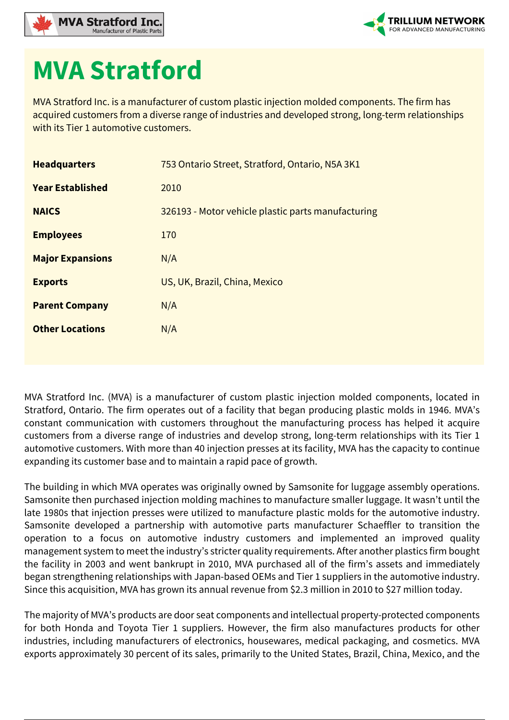



## **MVA Stratford**

MVA Stratford Inc. is a manufacturer of custom plastic injection molded components. The firm has acquired customers from a diverse range of industries and developed strong, long-term relationships with its Tier 1 automotive customers.

| <b>Headquarters</b>     | 753 Ontario Street, Stratford, Ontario, N5A 3K1    |
|-------------------------|----------------------------------------------------|
| <b>Year Established</b> | 2010                                               |
| <b>NAICS</b>            | 326193 - Motor vehicle plastic parts manufacturing |
| <b>Employees</b>        | 170                                                |
| <b>Major Expansions</b> | N/A                                                |
| <b>Exports</b>          | US, UK, Brazil, China, Mexico                      |
| <b>Parent Company</b>   | N/A                                                |
| <b>Other Locations</b>  | N/A                                                |
|                         |                                                    |

MVA Stratford Inc. (MVA) is a manufacturer of custom plastic injection molded components, located in Stratford, Ontario. The firm operates out of a facility that began producing plastic molds in 1946. MVA's constant communication with customers throughout the manufacturing process has helped it acquire customers from a diverse range of industries and develop strong, long-term relationships with its Tier 1 automotive customers. With more than 40 injection presses at its facility, MVA has the capacity to continue expanding its customer base and to maintain a rapid pace of growth.

The building in which MVA operates was originally owned by Samsonite for luggage assembly operations. Samsonite then purchased injection molding machines to manufacture smaller luggage. It wasn't until the late 1980s that injection presses were utilized to manufacture plastic molds for the automotive industry. Samsonite developed a partnership with automotive parts manufacturer Schaeffler to transition the operation to a focus on automotive industry customers and implemented an improved quality management system to meet the industry's stricter quality requirements. After another plastics firm bought the facility in 2003 and went bankrupt in 2010, MVA purchased all of the firm's assets and immediately began strengthening relationships with Japan-based OEMs and Tier 1 suppliers in the automotive industry. Since this acquisition, MVA has grown its annual revenue from \$2.3 million in 2010 to \$27 million today.

The majority of MVA's products are door seat components and intellectual property-protected components for both Honda and Toyota Tier 1 suppliers. However, the firm also manufactures products for other industries, including manufacturers of electronics, housewares, medical packaging, and cosmetics. MVA exports approximately 30 percent of its sales, primarily to the United States, Brazil, China, Mexico, and the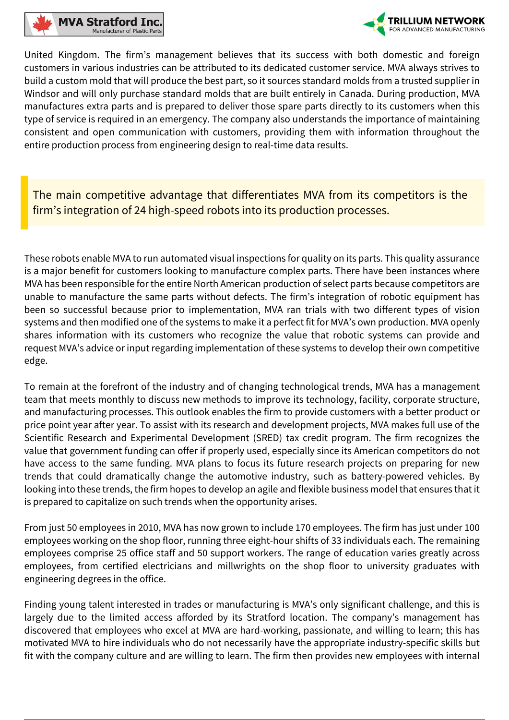



United Kingdom. The firm's management believes that its success with both domestic and foreign customers in various industries can be attributed to its dedicated customer service. MVA always strives to build a custom mold that will produce the best part, so it sources standard molds from a trusted supplier in Windsor and will only purchase standard molds that are built entirely in Canada. During production, MVA manufactures extra parts and is prepared to deliver those spare parts directly to its customers when this type of service is required in an emergency. The company also understands the importance of maintaining consistent and open communication with customers, providing them with information throughout the entire production process from engineering design to real-time data results.

The main competitive advantage that differentiates MVA from its competitors is the firm's integration of 24 high-speed robots into its production processes.

These robots enable MVA to run automated visual inspections for quality on its parts. This quality assurance is a major benefit for customers looking to manufacture complex parts. There have been instances where MVA has been responsible for the entire North American production of select parts because competitors are unable to manufacture the same parts without defects. The firm's integration of robotic equipment has been so successful because prior to implementation, MVA ran trials with two different types of vision systems and then modified one of the systems to make it a perfect fit for MVA's own production. MVA openly shares information with its customers who recognize the value that robotic systems can provide and request MVA's advice or input regarding implementation of these systems to develop their own competitive edge.

To remain at the forefront of the industry and of changing technological trends, MVA has a management team that meets monthly to discuss new methods to improve its technology, facility, corporate structure, and manufacturing processes. This outlook enables the firm to provide customers with a better product or price point year after year. To assist with its research and development projects, MVA makes full use of the Scientific Research and Experimental Development (SRED) tax credit program. The firm recognizes the value that government funding can offer if properly used, especially since its American competitors do not have access to the same funding. MVA plans to focus its future research projects on preparing for new trends that could dramatically change the automotive industry, such as battery-powered vehicles. By looking into these trends, the firm hopes to develop an agile and flexible business model that ensures that it is prepared to capitalize on such trends when the opportunity arises.

From just 50 employees in 2010, MVA has now grown to include 170 employees. The firm has just under 100 employees working on the shop floor, running three eight-hour shifts of 33 individuals each. The remaining employees comprise 25 office staff and 50 support workers. The range of education varies greatly across employees, from certified electricians and millwrights on the shop floor to university graduates with engineering degrees in the office.

Finding young talent interested in trades or manufacturing is MVA's only significant challenge, and this is largely due to the limited access afforded by its Stratford location. The company's management has discovered that employees who excel at MVA are hard-working, passionate, and willing to learn; this has motivated MVA to hire individuals who do not necessarily have the appropriate industry-specific skills but fit with the company culture and are willing to learn. The firm then provides new employees with internal